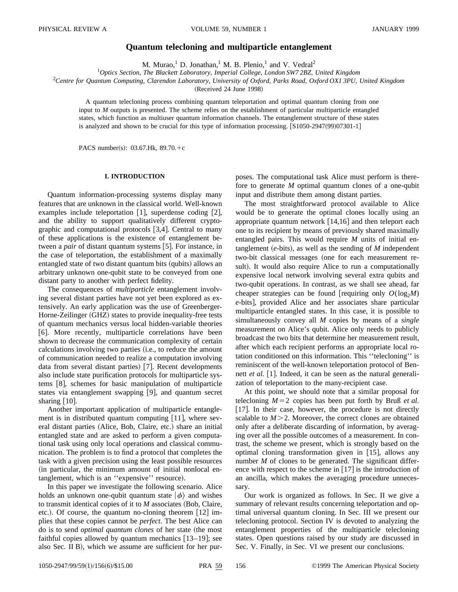# **Quantum telecloning and multiparticle entanglement**

M. Murao,<sup>1</sup> D. Jonathan,<sup>1</sup> M. B. Plenio,<sup>1</sup> and V. Vedral<sup>2</sup>

1 *Optics Section, The Blackett Laboratory, Imperial College, London SW7 2BZ, United Kingdom*

2 *Centre for Quantum Computing, Clarendon Laboratory, University of Oxford, Parks Road, Oxford OX1 3PU, United Kingdom*

 $(Received 24 June 1998)$ 

A quantum telecloning process combining quantum teleportation and optimal quantum cloning from one input to *M* outputs is presented. The scheme relies on the establishment of particular multiparticle entangled states, which function as multiuser quantum information channels. The entanglement structure of these states is analyzed and shown to be crucial for this type of information processing.  $[S1050-2947(99)07301-1]$ 

PACS number(s): 03.67.Hk,  $89.70.+c$ 

## **I. INTRODUCTION**

Quantum information-processing systems display many features that are unknown in the classical world. Well-known examples include teleportation  $[1]$ , superdense coding  $[2]$ , and the ability to support qualitatively different cryptographic and computational protocols  $[3,4]$ . Central to many of these applications is the existence of entanglement between a *pair* of distant quantum systems [5]. For instance, in the case of teleportation, the establishment of a maximally entangled state of two distant quantum bits (qubits) allows an arbitrary unknown one-qubit state to be conveyed from one distant party to another with perfect fidelity.

The consequences of *multiparticle* entanglement involving several distant parties have not yet been explored as extensively. An early application was the use of Greenberger-Horne-Zeilinger (GHZ) states to provide inequality-free tests of quantum mechanics versus local hidden-variable theories [6]. More recently, multiparticle correlations have been shown to decrease the communication complexity of certain calculations involving two parties (i.e., to reduce the amount of communication needed to realize a computation involving data from several distant parties) [7]. Recent developments also include state purification protocols for multiparticle systems  $[8]$ , schemes for basic manipulation of multiparticle states via entanglement swapping  $[9]$ , and quantum secret sharing  $\lfloor 10 \rfloor$ .

Another important application of multiparticle entanglement is in distributed quantum computing  $[11]$ , where several distant parties (Alice, Bob, Claire, etc.) share an initial entangled state and are asked to perform a given computational task using only local operations and classical communication. The problem is to find a protocol that completes the task with a given precision using the least possible resources (in particular, the minimum amount of initial nonlocal entanglement, which is an "expensive" resource).

In this paper we investigate the following scenario. Alice holds an unknown one-qubit quantum state  $|\phi\rangle$  and wishes to transmit identical copies of it to  $M$  associates (Bob, Claire, etc.). Of course, the quantum no-cloning theorem  $[12]$  implies that these copies cannot be *perfect*. The best Alice can do is to send *optimal quantum clones* of her state (the most faithful copies allowed by quantum mechanics  $[13–19]$ ; see also Sec. II B), which we assume are sufficient for her purposes. The computational task Alice must perform is therefore to generate *M* optimal quantum clones of a one-qubit input and distribute them among distant parties.

The most straightforward protocol available to Alice would be to generate the optimal clones locally using an appropriate quantum network  $[14,16]$  and then teleport each one to its recipient by means of previously shared maximally entangled pairs. This would require *M* units of initial entanglement  $(e$ -bits), as well as the sending of  $M$  independent two-bit classical messages (one for each measurement result). It would also require Alice to run a computationally expensive local network involving several extra qubits and two-qubit operations. In contrast, as we shall see ahead, far cheaper strategies can be found requiring only  $O(log_2M)$ e-bits], provided Alice and her associates share particular multiparticle entangled states. In this case, it is possible to simultaneously convey all *M* copies by means of a *single* measurement on Alice's qubit. Alice only needs to publicly broadcast the two bits that determine her measurement result, after which each recipient performs an appropriate local rotation conditioned on this information. This ''telecloning'' is reminiscent of the well-known teleportation protocol of Bennett *et al.* [1]. Indeed, it can be seen as the natural generalization of teleportation to the many-recipient case.

At this point, we should note that a similar proposal for telecloning  $M=2$  copies has been put forth by Bruß *et al.* [17]. In their case, however, the procedure is not directly scalable to  $M > 2$ . Moreover, the correct clones are obtained only after a deliberate discarding of information, by averaging over all the possible outcomes of a measurement. In contrast, the scheme we present, which is strongly based on the optimal cloning transformation given in  $[15]$ , allows any number *M* of clones to be generated. The significant difference with respect to the scheme in  $[17]$  is the introduction of an ancilla, which makes the averaging procedure unnecessary.

Our work is organized as follows. In Sec. II we give a summary of relevant results concerning teleportation and optimal universal quantum cloning. In Sec. III we present our telecloning protocol. Section IV is devoted to analyzing the entanglement properties of the multiparticle telecloning states. Open questions raised by our study are discussed in Sec. V. Finally, in Sec. VI we present our conclusions.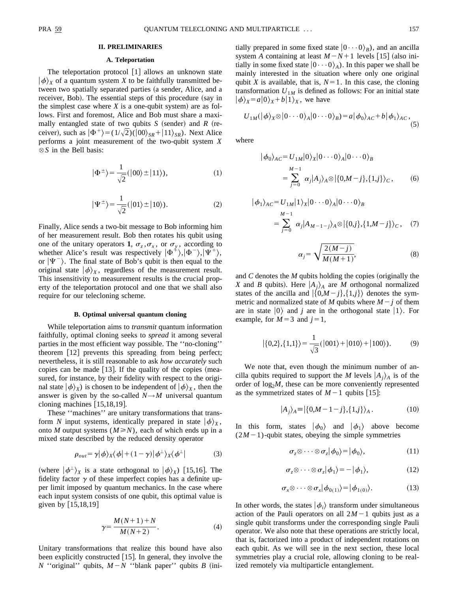#### **II. PRELIMINARIES**

# **A. Teleportation**

The teleportation protocol  $[1]$  allows an unknown state  $|\phi\rangle_X$  of a quantum system *X* to be faithfully transmitted between two spatially separated parties (a sender, Alice, and a receiver, Bob). The essential steps of this procedure (say in the simplest case where  $X$  is a one-qubit system) are as follows. First and foremost, Alice and Bob must share a maximally entangled state of two qubits  $S$  (sender) and  $R$  (receiver), such as  $|\Phi^+\rangle = (1/\sqrt{2})(|00\rangle_{SR}+|11\rangle_{SR})$ . Next Alice performs a joint measurement of the two-qubit system *X*  $\otimes$ *S* in the Bell basis:

$$
|\Phi^{\pm}\rangle = \frac{1}{\sqrt{2}}(|00\rangle \pm |11\rangle), \tag{1}
$$

$$
|\Psi^{\pm}\rangle = \frac{1}{\sqrt{2}}(|01\rangle \pm |10\rangle). \tag{2}
$$

Finally, Alice sends a two-bit message to Bob informing him of her measurement result. Bob then rotates his qubit using one of the unitary operators **1**,  $\sigma_z$ ,  $\sigma_x$ , or  $\sigma_y$ , according to whether Alice's result was respectively  $|\Phi^+\rangle, |\Phi^-\rangle, |\Psi^+\rangle,$ or  $|\Psi^{-}\rangle$ . The final state of Bob's qubit is then equal to the original state  $|\phi\rangle_X$ , regardless of the measurement result. This insensitivity to measurement results is the crucial property of the teleportation protocol and one that we shall also require for our telecloning scheme.

#### **B. Optimal universal quantum cloning**

While teleportation aims to *transmit* quantum information faithfully, optimal cloning seeks to *spread* it among several parties in the most efficient way possible. The ''no-cloning'' theorem  $[12]$  prevents this spreading from being perfect; nevertheless, it is still reasonable to ask *how accurately* such copies can be made  $[13]$ . If the quality of the copies (measured, for instance, by their fidelity with respect to the original state  $|\phi\rangle_X$  is chosen to be independent of  $|\phi\rangle_X$ , then the answer is given by the so-called  $N \rightarrow M$  universal quantum cloning machines  $[15,18,19]$ .

These ''machines'' are unitary transformations that transform *N* input systems, identically prepared in state  $|\phi\rangle_{X}$ , onto *M* output systems  $(M \ge N)$ , each of which ends up in a mixed state described by the reduced density operator

$$
\rho_{out} = \gamma |\phi\rangle_X \langle \phi | + (1 - \gamma) |\phi^{\perp}\rangle_X \langle \phi^{\perp} | \tag{3}
$$

(where  $|\phi^{\perp}\rangle_X$  is a state orthogonal to  $|\phi\rangle_X$ ) [15,16]. The fidelity factor  $\gamma$  of these imperfect copies has a definite upper limit imposed by quantum mechanics. In the case where each input system consists of one qubit, this optimal value is given by  $[15,18,19]$ 

$$
\gamma = \frac{M(N+1) + N}{M(N+2)}.\tag{4}
$$

Unitary transformations that realize this bound have also been explicitly constructed  $[15]$ . In general, they involve the *N* "original" qubits,  $M-N$  "blank paper" qubits *B* (initially prepared in some fixed state  $|0 \cdots 0 \rangle_B$ , and an ancilla system *A* containing at least  $M-N+1$  levels [15] (also initially in some fixed state  $|0 \cdots 0 \rangle_A$ ). In this paper we shall be mainly interested in the situation where only one original qubit *X* is available, that is,  $N=1$ . In this case, the cloning transformation  $U_{1M}$  is defined as follows: For an initial state  $|\phi\rangle_X = a|0\rangle_X + b|1\rangle_X$ , we have

$$
U_{1M}(|\phi\rangle_{X}\otimes|0\cdots0\rangle_{A}|0\cdots0\rangle_{B})=a|\phi_{0}\rangle_{AC}+b|\phi_{1}\rangle_{AC},
$$
\n(5)

where

$$
\begin{aligned} |\phi_0\rangle_{AC} &= U_{1M}|0\rangle_X|0\cdots0\rangle_A|0\cdots0\rangle_B\\ &= \sum_{j=0}^{M-1} \alpha_j |A_j\rangle_A \otimes |\{0,M-j\},\{1,j\}\rangle_C, \end{aligned} \tag{6}
$$

$$
\begin{aligned} |\phi_1\rangle_{AC} &= U_{1M}|1\rangle_X|0\cdots0\rangle_A|0\cdots0\rangle_B \\ &= \sum_{j=0}^{M-1} \alpha_j |A_{M-1-j}\rangle_A \otimes |\{0,j\}, \{1,M-j\}\rangle_C, \end{aligned} \tag{7}
$$

$$
\alpha_j = \sqrt{\frac{2(M-j)}{M(M+1)}},\tag{8}
$$

and  $C$  denotes the  $M$  qubits holding the copies (originally the *X* and *B* qubits). Here  $\langle A_i \rangle_A$  are *M* orthogonal normalized states of the ancilla and  $|\{0,M-j\},\{1,j\}\rangle$  denotes the symmetric and normalized state of *M* qubits where  $M - j$  of them are in state  $|0\rangle$  and *j* are in the orthogonal state  $|1\rangle$ . For example, for  $M=3$  and  $j=1$ ,

$$
|\{0,2\},\{1,1\}\rangle = \frac{1}{\sqrt{3}}(|001\rangle + |010\rangle + |100\rangle). \tag{9}
$$

We note that, even though the minimum number of ancilla qubits required to support the *M* levels  $\ket{A_i}_A$  is of the order of  $log_2 M$ , these can be more conveniently represented as the symmetrized states of  $M-1$  qubits [15]:

$$
|A_j\rangle_A = |\{0,M-1-j\},\{1,j\}\rangle_A. \tag{10}
$$

In this form, states  $|\phi_0\rangle$  and  $|\phi_1\rangle$  above become  $(2M-1)$ -qubit states, obeying the simple symmetries

$$
\sigma_z \otimes \cdots \otimes \sigma_z |\phi_0\rangle = |\phi_0\rangle, \qquad (11)
$$

$$
\sigma_z \otimes \cdots \otimes \sigma_z |\phi_1\rangle = -|\phi_1\rangle, \qquad (12)
$$

$$
\sigma_x \otimes \cdots \otimes \sigma_x |\phi_{0(1)}\rangle = |\phi_{1(0)}\rangle. \tag{13}
$$

In other words, the states  $|\phi_i\rangle$  transform under simultaneous action of the Pauli operators on all  $2M-1$  qubits just as a single qubit transforms under the corresponding single Pauli operator. We also note that these operations are strictly local, that is, factorized into a product of independent rotations on each qubit. As we will see in the next section, these local symmetries play a crucial role, allowing cloning to be realized remotely via multiparticle entanglement.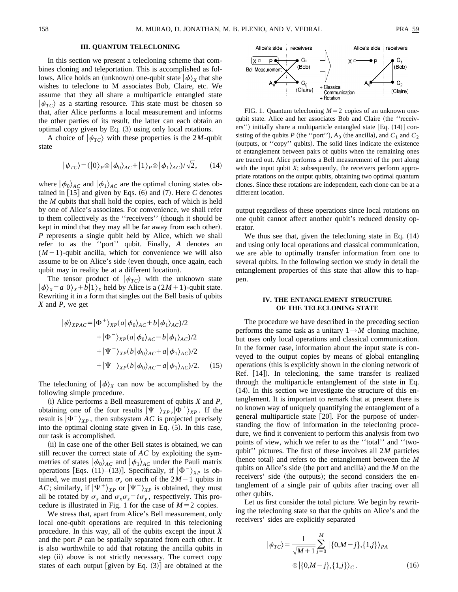## **III. QUANTUM TELECLONING**

In this section we present a telecloning scheme that combines cloning and teleportation. This is accomplished as follows. Alice holds an (unknown) one-qubit state  $|\phi\rangle_X$  that she wishes to teleclone to M associates Bob, Claire, etc. We assume that they all share a multiparticle entangled state  $|\psi_{TC}\rangle$  as a starting resource. This state must be chosen so that, after Alice performs a local measurement and informs the other parties of its result, the latter can each obtain an optimal copy given by Eq.  $(3)$  using only local rotations.

A choice of  $|\psi_{TC}\rangle$  with these properties is the 2*M*-qubit state

$$
|\psi_{TC}\rangle = (|0\rangle_P \otimes |\phi_0\rangle_{AC} + |1\rangle_P \otimes |\phi_1\rangle_{AC})/\sqrt{2}, \qquad (14)
$$

where  $|\phi_0\rangle_{AC}$  and  $|\phi_1\rangle_{AC}$  are the optimal cloning states obtained in  $[15]$  and given by Eqs.  $(6)$  and  $(7)$ . Here  $C$  denotes the *M* qubits that shall hold the copies, each of which is held by one of Alice's associates. For convenience, we shall refer to them collectively as the "receivers" (though it should be kept in mind that they may all be far away from each other). *P* represents a single qubit held by Alice, which we shall refer to as the ''port'' qubit. Finally, *A* denotes an  $(M-1)$ -qubit ancilla, which for convenience we will also assume to be on Alice's side (even though, once again, each qubit may in reality be at a different location).

The tensor product of  $|\psi_{TC}\rangle$  with the unknown state  $|\phi\rangle_X = a|0\rangle_X + b|1\rangle_X$  held by Alice is a (2*M*+1)-qubit state. Rewriting it in a form that singles out the Bell basis of qubits *X* and *P*, we get

$$
|\psi\rangle_{XPAC} = |\Phi^{+}\rangle_{XP}(a|\phi_{0}\rangle_{AC} + b|\phi_{1}\rangle_{AC})/2
$$
  
+ |\Phi^{-}\rangle\_{XP}(a|\phi\_{0}\rangle\_{AC} - b|\phi\_{1}\rangle\_{AC})/2  
+ |\Psi^{+}\rangle\_{XP}(b|\phi\_{0}\rangle\_{AC} + a|\phi\_{1}\rangle\_{AC})/2  
+ |\Psi^{-}\rangle\_{XP}(b|\phi\_{0}\rangle\_{AC} - a|\phi\_{1}\rangle\_{AC})/2. (15)

The telecloning of  $\ket{\phi}_X$  can now be accomplished by the following simple procedure.

 $(i)$  Alice performs a Bell measurement of qubits *X* and *P*, obtaining one of the four results  $|\Psi^{\pm}\rangle_{XP}$ ,  $|\Phi^{\pm}\rangle_{XP}$ . If the result is  $|\Phi^+\rangle_{XP}$ , then subsystem *AC* is projected precisely into the optimal cloning state given in Eq.  $(5)$ . In this case, our task is accomplished.

(ii) In case one of the other Bell states is obtained, we can still recover the correct state of *AC* by exploiting the symmetries of states  $|\phi_0\rangle_{AC}$  and  $|\phi_1\rangle_{AC}$  under the Pauli matrix operations [Eqs. (11)–(13)]. Specifically, if  $|\Phi^{-}\rangle_{XP}$  is obtained, we must perform  $\sigma_z$  on each of the  $2M-1$  qubits in *AC*; similarly, if  $|\Psi^+\rangle_{XP}$  or  $|\Psi^-\rangle_{XP}$  is obtained, they must all be rotated by  $\sigma_x$  and  $\sigma_x \sigma_z = i \sigma_y$ , respectively. This procedure is illustrated in Fig. 1 for the case of  $M=2$  copies.

We stress that, apart from Alice's Bell measurement, only local one-qubit operations are required in this telecloning procedure. In this way, all of the qubits except the input *X* and the port *P* can be spatially separated from each other. It is also worthwhile to add that rotating the ancilla qubits in step (ii) above is not strictly necessary. The correct copy states of each output [given by Eq.  $(3)$ ] are obtained at the



FIG. 1. Quantum telecloning  $M=2$  copies of an unknown onequbit state. Alice and her associates Bob and Claire (the "receivers'') initially share a multiparticle entangled state [Eq. (14)] consisting of the qubits *P* (the ''port''),  $A_0$  (the ancilla), and  $C_1$  and  $C_2$ (outputs, or "copy" qubits). The solid lines indicate the existence of entanglement between pairs of qubits when the remaining ones are traced out. Alice performs a Bell measurement of the port along with the input qubit *X*; subsequently, the receivers perform appropriate rotations on the output qubits, obtaining two optimal quantum clones. Since these rotations are independent, each clone can be at a different location.

output regardless of these operations since local rotations on one qubit cannot affect another qubit's reduced density operator.

We thus see that, given the telecloning state in Eq.  $(14)$ and using only local operations and classical communication, we are able to optimally transfer information from one to several qubits. In the following section we study in detail the entanglement properties of this state that allow this to happen.

# **IV. THE ENTANGLEMENT STRUCTURE OF THE TELECLONING STATE**

The procedure we have described in the preceding section performs the same task as a unitary  $1 \rightarrow M$  cloning machine, but uses only local operations and classical communication. In the former case, information about the input state is conveyed to the output copies by means of global entangling operations (this is explicitly shown in the cloning network of Ref. [14]). In telecloning, the same transfer is realized through the multiparticle entanglement of the state in Eq.  $(14)$ . In this section we investigate the structure of this entanglement. It is important to remark that at present there is no known way of uniquely quantifying the entanglement of a general multiparticle state  $[20]$ . For the purpose of understanding the flow of information in the telecloning procedure, we find it convenient to perform this analysis from two points of view, which we refer to as the ''total'' and ''twoqubit'' pictures. The first of these involves all 2*M* particles (hence total) and refers to the entanglement between the *M* qubits on Alice's side (the port and ancilla) and the *M* on the receivers' side (the outputs); the second considers the entanglement of a single pair of qubits after tracing over all other qubits.

Let us first consider the total picture. We begin by rewriting the telecloning state so that the qubits on Alice's and the receivers' sides are explicitly separated

$$
|\psi_{TC}\rangle = \frac{1}{\sqrt{M+1}} \sum_{j=0}^{M} |\{0,M-j\},\{1,j\}\rangle_{PA}
$$
  
 
$$
\otimes |\{0,M-j\},\{1,j\}\rangle_{C}. \tag{16}
$$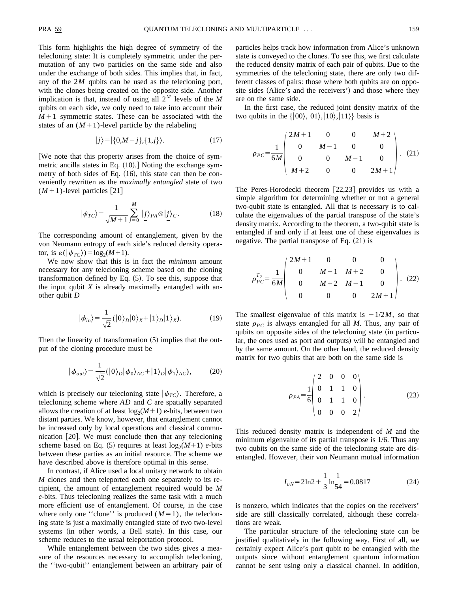This form highlights the high degree of symmetry of the telecloning state: It is completely symmetric under the permutation of any two particles on the same side and also under the exchange of both sides. This implies that, in fact, any of the 2*M* qubits can be used as the telecloning port, with the clones being created on the opposite side. Another implication is that, instead of using all  $2^M$  levels of the M qubits on each side, we only need to take into account their  $M+1$  symmetric states. These can be associated with the states of an  $(M+1)$ -level particle by the relabeling

$$
|j\rangle = |\{0,M-j\},\{1,j\}\rangle. \tag{17}
$$

@We note that this property arises from the choice of symmetric ancilla states in Eq.  $(10)$ . Noting the exchange symmetry of both sides of Eq.  $(16)$ , this state can then be conveniently rewritten as the *maximally entangled* state of two  $(M+1)$ -level particles [21]

$$
|\psi_{TC}\rangle = \frac{1}{\sqrt{M+1}} \sum_{j=0}^{M} |j\rangle_{PA} \otimes |j\rangle_{C}.
$$
 (18)

The corresponding amount of entanglement, given by the von Neumann entropy of each side's reduced density operator, is  $\varepsilon(|\psi_{TC}\rangle) = \log_2(M+1)$ .

We now show that this is in fact the *minimum* amount necessary for any telecloning scheme based on the cloning transformation defined by Eq.  $(5)$ . To see this, suppose that the input qubit *X* is already maximally entangled with another qubit *D*

$$
|\phi_{in}\rangle = \frac{1}{\sqrt{2}} (|0\rangle_D |0\rangle_X + |1\rangle_D |1\rangle_X). \tag{19}
$$

Then the linearity of transformation  $(5)$  implies that the output of the cloning procedure must be

$$
|\phi_{out}\rangle = \frac{1}{\sqrt{2}} (|0\rangle_D |\phi_0\rangle_{AC} + |1\rangle_D |\phi_1\rangle_{AC}),
$$
 (20)

which is precisely our telecloning state  $|\psi_{TC}\rangle$ . Therefore, a telecloning scheme where *AD* and *C* are spatially separated allows the creation of at least  $log_2(M+1)$  *e*-bits, between two distant parties. We know, however, that entanglement cannot be increased only by local operations and classical communication  $[20]$ . We must conclude then that any telecloning scheme based on Eq.  $(5)$  requires at least  $log_2(M+1)$  *e*-bits between these parties as an initial resource. The scheme we have described above is therefore optimal in this sense.

In contrast, if Alice used a local unitary network to obtain *M* clones and then teleported each one separately to its recipient, the amount of entanglement required would be *M e*-bits. Thus telecloning realizes the same task with a much more efficient use of entanglement. Of course, in the case where only one "clone" is produced  $(M=1)$ , the telecloning state is just a maximally entangled state of two two-level systems (in other words, a Bell state). In this case, our scheme reduces to the usual teleportation protocol.

While entanglement between the two sides gives a measure of the resources necessary to accomplish telecloning, the ''two-qubit'' entanglement between an arbitrary pair of particles helps track how information from Alice's unknown state is conveyed to the clones. To see this, we first calculate the reduced density matrix of each pair of qubits. Due to the symmetries of the telecloning state, there are only two different classes of pairs: those where both qubits are on opposite sides (Alice's and the receivers') and those where they are on the same side.

In the first case, the reduced joint density matrix of the two qubits in the  $\{ |00\rangle, |01\rangle, |10\rangle, |11\rangle \}$  basis is

$$
\rho_{PC} = \frac{1}{6M} \begin{pmatrix} 2M+1 & 0 & 0 & M+2 \\ 0 & M-1 & 0 & 0 \\ 0 & 0 & M-1 & 0 \\ M+2 & 0 & 0 & 2M+1 \end{pmatrix} . (21)
$$

The Peres-Horodecki theorem  $[22,23]$  provides us with a simple algorithm for determining whether or not a general two-qubit state is entangled. All that is necessary is to calculate the eigenvalues of the partial transpose of the state's density matrix. According to the theorem, a two-qubit state is entangled if and only if at least one of these eigenvalues is negative. The partial transpose of Eq.  $(21)$  is

$$
\rho_{PC}^{T_2} = \frac{1}{6M} \begin{pmatrix} 2M+1 & 0 & 0 & 0 \\ 0 & M-1 & M+2 & 0 \\ 0 & M+2 & M-1 & 0 \\ 0 & 0 & 0 & 2M+1 \end{pmatrix} . (22)
$$

The smallest eigenvalue of this matrix is  $-1/2M$ , so that state  $\rho_{PC}$  is always entangled for all *M*. Thus, any pair of qubits on opposite sides of the telecloning state (in particular, the ones used as port and outputs) will be entangled and by the same amount. On the other hand, the reduced density matrix for two qubits that are both on the same side is

$$
\rho_{PA} = \frac{1}{6} \begin{pmatrix} 2 & 0 & 0 & 0 \\ 0 & 1 & 1 & 0 \\ 0 & 1 & 1 & 0 \\ 0 & 0 & 0 & 2 \end{pmatrix} .
$$
 (23)

This reduced density matrix is independent of *M* and the minimum eigenvalue of its partial transpose is 1/6. Thus any two qubits on the same side of the telecloning state are disentangled. However, their von Neumann mutual information

$$
I_{vN} = 2\ln 2 + \frac{1}{3}\ln \frac{1}{54} = 0.0817\tag{24}
$$

is nonzero, which indicates that the copies on the receivers' side are still classically correlated, although these correlations are weak.

The particular structure of the telecloning state can be justified qualitatively in the following way. First of all, we certainly expect Alice's port qubit to be entangled with the outputs since without entanglement quantum information cannot be sent using only a classical channel. In addition,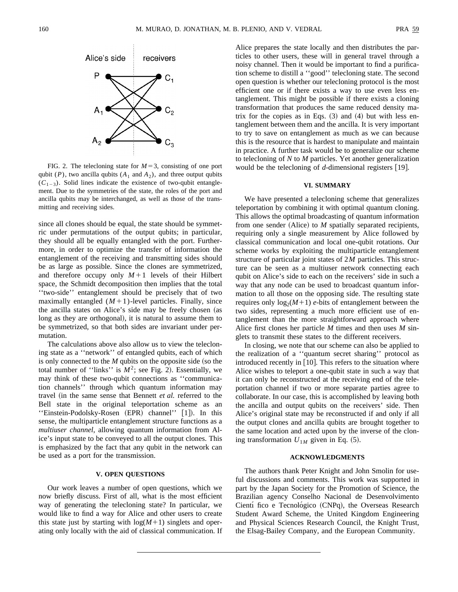

FIG. 2. The telecloning state for  $M=3$ , consisting of one port qubit (*P*), two ancilla qubits ( $A_1$  and  $A_2$ ), and three output qubits  $(C_{1-3})$ . Solid lines indicate the existence of two-qubit entanglement. Due to the symmetries of the state, the roles of the port and ancilla qubits may be interchanged, as well as those of the transmitting and receiving sides.

since all clones should be equal, the state should be symmetric under permutations of the output qubits; in particular, they should all be equally entangled with the port. Furthermore, in order to optimize the transfer of information the entanglement of the receiving and transmitting sides should be as large as possible. Since the clones are symmetrized, and therefore occupy only  $M+1$  levels of their Hilbert space, the Schmidt decomposition then implies that the total ''two-side'' entanglement should be precisely that of two maximally entangled  $(M+1)$ -level particles. Finally, since the ancilla states on Alice's side may be freely chosen (as long as they are orthogonal), it is natural to assume them to be symmetrized, so that both sides are invariant under permutation.

The calculations above also allow us to view the telecloning state as a ''network'' of entangled qubits, each of which is only connected to the  $M$  qubits on the opposite side (so the total number of "links" is  $M^2$ ; see Fig. 2). Essentially, we may think of these two-qubit connections as ''communication channels'' through which quantum information may travel (in the same sense that Bennett *et al.* referred to the Bell state in the original teleportation scheme as an "Einstein-Podolsky-Rosen (EPR) channel" [1]). In this sense, the multiparticle entanglement structure functions as a *multiuser channel*, allowing quantum information from Alice's input state to be conveyed to all the output clones. This is emphasized by the fact that any qubit in the network can be used as a port for the transmission.

## **V. OPEN QUESTIONS**

Our work leaves a number of open questions, which we now briefly discuss. First of all, what is the most efficient way of generating the telecloning state? In particular, we would like to find a way for Alice and other users to create this state just by starting with  $log(M+1)$  singlets and operating only locally with the aid of classical communication. If Alice prepares the state locally and then distributes the particles to other users, these will in general travel through a noisy channel. Then it would be important to find a purification scheme to distill a ''good'' telecloning state. The second open question is whether our telecloning protocol is the most efficient one or if there exists a way to use even less entanglement. This might be possible if there exists a cloning transformation that produces the same reduced density matrix for the copies as in Eqs.  $(3)$  and  $(4)$  but with less entanglement between them and the ancilla. It is very important to try to save on entanglement as much as we can because this is the resource that is hardest to manipulate and maintain in practice. A further task would be to generalize our scheme to telecloning of *N* to *M* particles. Yet another generalization would be the telecloning of *d*-dimensional registers [19].

#### **VI. SUMMARY**

We have presented a telecloning scheme that generalizes teleportation by combining it with optimal quantum cloning. This allows the optimal broadcasting of quantum information from one sender (Alice) to *M* spatially separated recipients, requiring only a single measurement by Alice followed by classical communication and local one-qubit rotations. Our scheme works by exploiting the multiparticle entanglement structure of particular joint states of 2*M* particles. This structure can be seen as a multiuser network connecting each qubit on Alice's side to each on the receivers' side in such a way that any node can be used to broadcast quantum information to all those on the opposing side. The resulting state requires only  $log_2(M+1)$  *e*-bits of entanglement between the two sides, representing a much more efficient use of entanglement than the more straightforward approach where Alice first clones her particle *M* times and then uses *M* singlets to transmit these states to the different receivers.

In closing, we note that our scheme can also be applied to the realization of a ''quantum secret sharing'' protocol as introduced recently in  $[10]$ . This refers to the situation where Alice wishes to teleport a one-qubit state in such a way that it can only be reconstructed at the receiving end of the teleportation channel if two or more separate parties agree to collaborate. In our case, this is accomplished by leaving both the ancilla and output qubits on the receivers' side. Then Alice's original state may be reconstructed if and only if all the output clones and ancilla qubits are brought together to the same location and acted upon by the inverse of the cloning transformation  $U_{1M}$  given in Eq. (5).

#### **ACKNOWLEDGMENTS**

The authors thank Peter Knight and John Smolin for useful discussions and comments. This work was supported in part by the Japan Society for the Promotion of Science, the Brazilian agency Conselho Nacional de Desenvolvimento Cientí fico e Tecnológico (CNPq), the Overseas Research Student Award Scheme, the United Kingdom Engineering and Physical Sciences Research Council, the Knight Trust, the Elsag-Bailey Company, and the European Community.